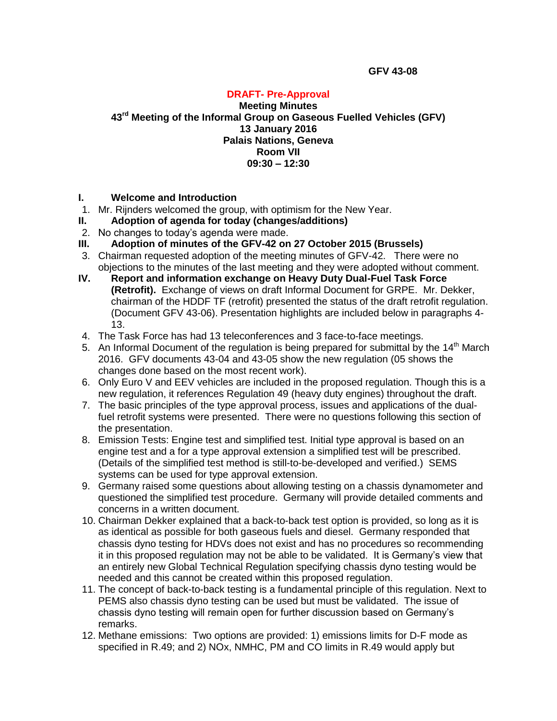### **DRAFT- Pre-Approval**

**Meeting Minutes 43 rd Meeting of the Informal Group on Gaseous Fuelled Vehicles (GFV) 13 January 2016 Palais Nations, Geneva Room VII 09:30 – 12:30**

#### **I. Welcome and Introduction**

- 1. Mr. Rijnders welcomed the group, with optimism for the New Year.
- **II. Adoption of agenda for today (changes/additions)**
- 2. No changes to today's agenda were made.
- **III. Adoption of minutes of the GFV-42 on 27 October 2015 (Brussels)**
- 3. Chairman requested adoption of the meeting minutes of GFV-42. There were no objections to the minutes of the last meeting and they were adopted without comment.
- **IV. Report and information exchange on Heavy Duty Dual-Fuel Task Force (Retrofit).** Exchange of views on draft Informal Document for GRPE. Mr. Dekker, chairman of the HDDF TF (retrofit) presented the status of the draft retrofit regulation. (Document GFV 43-06). Presentation highlights are included below in paragraphs 4- 13.
- 4. The Task Force has had 13 teleconferences and 3 face-to-face meetings.
- 5. An Informal Document of the regulation is being prepared for submittal by the  $14<sup>th</sup>$  March 2016. GFV documents 43-04 and 43-05 show the new regulation (05 shows the changes done based on the most recent work).
- 6. Only Euro V and EEV vehicles are included in the proposed regulation. Though this is a new regulation, it references Regulation 49 (heavy duty engines) throughout the draft.
- 7. The basic principles of the type approval process, issues and applications of the dualfuel retrofit systems were presented. There were no questions following this section of the presentation.
- 8. Emission Tests: Engine test and simplified test. Initial type approval is based on an engine test and a for a type approval extension a simplified test will be prescribed. (Details of the simplified test method is still-to-be-developed and verified.) SEMS systems can be used for type approval extension.
- 9. Germany raised some questions about allowing testing on a chassis dynamometer and questioned the simplified test procedure. Germany will provide detailed comments and concerns in a written document.
- 10. Chairman Dekker explained that a back-to-back test option is provided, so long as it is as identical as possible for both gaseous fuels and diesel. Germany responded that chassis dyno testing for HDVs does not exist and has no procedures so recommending it in this proposed regulation may not be able to be validated. It is Germany's view that an entirely new Global Technical Regulation specifying chassis dyno testing would be needed and this cannot be created within this proposed regulation.
- 11. The concept of back-to-back testing is a fundamental principle of this regulation. Next to PEMS also chassis dyno testing can be used but must be validated. The issue of chassis dyno testing will remain open for further discussion based on Germany's remarks.
- 12. Methane emissions: Two options are provided: 1) emissions limits for D-F mode as specified in R.49; and 2) NOx, NMHC, PM and CO limits in R.49 would apply but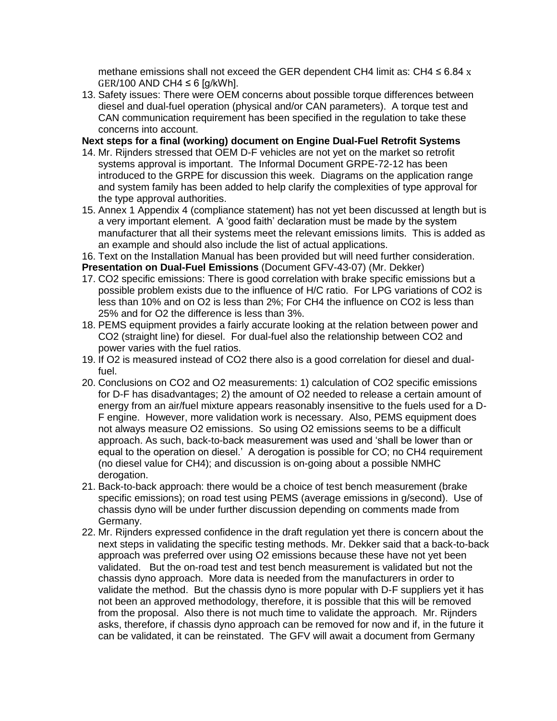methane emissions shall not exceed the GER dependent CH4 limit as: CH4  $\leq$  6.84 x  $GER/100$  AND CH4  $\leq$  6 [g/kWh].

13. Safety issues: There were OEM concerns about possible torque differences between diesel and dual-fuel operation (physical and/or CAN parameters). A torque test and CAN communication requirement has been specified in the regulation to take these concerns into account.

**Next steps for a final (working) document on Engine Dual-Fuel Retrofit Systems**

- 14. Mr. Rijnders stressed that OEM D-F vehicles are not yet on the market so retrofit systems approval is important. The Informal Document GRPE-72-12 has been introduced to the GRPE for discussion this week. Diagrams on the application range and system family has been added to help clarify the complexities of type approval for the type approval authorities.
- 15. Annex 1 Appendix 4 (compliance statement) has not yet been discussed at length but is a very important element. A 'good faith' declaration must be made by the system manufacturer that all their systems meet the relevant emissions limits. This is added as an example and should also include the list of actual applications.

16. Text on the Installation Manual has been provided but will need further consideration.

**Presentation on Dual-Fuel Emissions** (Document GFV-43-07) (Mr. Dekker)

- 17. CO2 specific emissions: There is good correlation with brake specific emissions but a possible problem exists due to the influence of H/C ratio. For LPG variations of CO2 is less than 10% and on O2 is less than 2%; For CH4 the influence on CO2 is less than 25% and for O2 the difference is less than 3%.
- 18. PEMS equipment provides a fairly accurate looking at the relation between power and CO2 (straight line) for diesel. For dual-fuel also the relationship between CO2 and power varies with the fuel ratios.
- 19. If O2 is measured instead of CO2 there also is a good correlation for diesel and dualfuel.
- 20. Conclusions on CO2 and O2 measurements: 1) calculation of CO2 specific emissions for D-F has disadvantages; 2) the amount of O2 needed to release a certain amount of energy from an air/fuel mixture appears reasonably insensitive to the fuels used for a D-F engine. However, more validation work is necessary. Also, PEMS equipment does not always measure O2 emissions. So using O2 emissions seems to be a difficult approach. As such, back-to-back measurement was used and 'shall be lower than or equal to the operation on diesel.' A derogation is possible for CO; no CH4 requirement (no diesel value for CH4); and discussion is on-going about a possible NMHC derogation.
- 21. Back-to-back approach: there would be a choice of test bench measurement (brake specific emissions); on road test using PEMS (average emissions in g/second). Use of chassis dyno will be under further discussion depending on comments made from Germany.
- 22. Mr. Rijnders expressed confidence in the draft regulation yet there is concern about the next steps in validating the specific testing methods. Mr. Dekker said that a back-to-back approach was preferred over using O2 emissions because these have not yet been validated. But the on-road test and test bench measurement is validated but not the chassis dyno approach. More data is needed from the manufacturers in order to validate the method. But the chassis dyno is more popular with D-F suppliers yet it has not been an approved methodology, therefore, it is possible that this will be removed from the proposal. Also there is not much time to validate the approach. Mr. Rijnders asks, therefore, if chassis dyno approach can be removed for now and if, in the future it can be validated, it can be reinstated. The GFV will await a document from Germany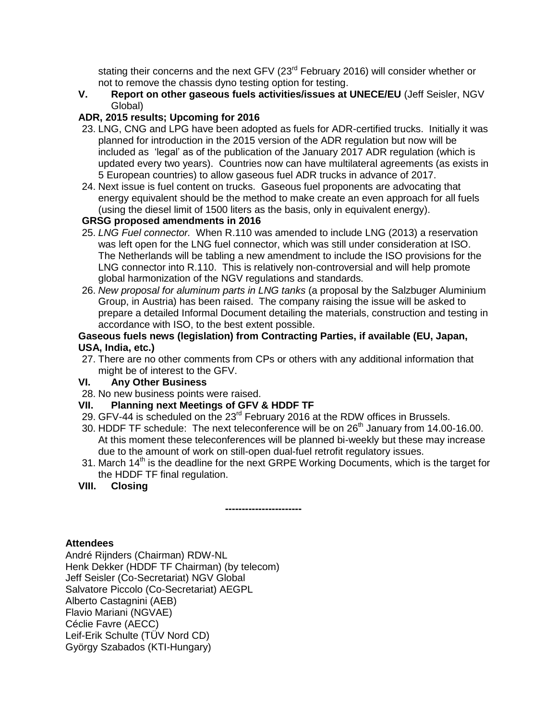stating their concerns and the next GFV (23<sup>rd</sup> February 2016) will consider whether or not to remove the chassis dyno testing option for testing.

**V. Report on other gaseous fuels activities/issues at UNECE/EU** (Jeff Seisler, NGV Global)

## **ADR, 2015 results; Upcoming for 2016**

- 23. LNG, CNG and LPG have been adopted as fuels for ADR-certified trucks. Initially it was planned for introduction in the 2015 version of the ADR regulation but now will be included as 'legal' as of the publication of the January 2017 ADR regulation (which is updated every two years). Countries now can have multilateral agreements (as exists in 5 European countries) to allow gaseous fuel ADR trucks in advance of 2017.
- 24. Next issue is fuel content on trucks. Gaseous fuel proponents are advocating that energy equivalent should be the method to make create an even approach for all fuels (using the diesel limit of 1500 liters as the basis, only in equivalent energy).

# **GRSG proposed amendments in 2016**

- 25. *LNG Fuel connector.* When R.110 was amended to include LNG (2013) a reservation was left open for the LNG fuel connector, which was still under consideration at ISO. The Netherlands will be tabling a new amendment to include the ISO provisions for the LNG connector into R.110. This is relatively non-controversial and will help promote global harmonization of the NGV regulations and standards.
- 26. *New proposal for aluminum parts in LNG tanks* (a proposal by the Salzbuger Aluminium Group, in Austria) has been raised. The company raising the issue will be asked to prepare a detailed Informal Document detailing the materials, construction and testing in accordance with ISO, to the best extent possible.

#### **Gaseous fuels news (legislation) from Contracting Parties, if available (EU, Japan, USA, India, etc.)**

27. There are no other comments from CPs or others with any additional information that might be of interest to the GFV.

## **VI. Any Other Business**

28. No new business points were raised.

# **VII. Planning next Meetings of GFV & HDDF TF**

 **-----------------------**

- 29. GFV-44 is scheduled on the 23<sup>rd</sup> February 2016 at the RDW offices in Brussels.
- 30. HDDF TF schedule: The next teleconference will be on 26<sup>th</sup> January from 14.00-16.00. At this moment these teleconferences will be planned bi-weekly but these may increase due to the amount of work on still-open dual-fuel retrofit regulatory issues.
- 31. March  $14<sup>th</sup>$  is the deadline for the next GRPE Working Documents, which is the target for the HDDF TF final regulation.
- **VIII. Closing**

**Attendees**

André Rijnders (Chairman) RDW-NL Henk Dekker (HDDF TF Chairman) (by telecom) Jeff Seisler (Co-Secretariat) NGV Global Salvatore Piccolo (Co-Secretariat) AEGPL Alberto Castagnini (AEB) Flavio Mariani (NGVAE) Céclie Favre (AECC) Leif-Erik Schulte (TÜV Nord CD) György Szabados (KTI-Hungary)